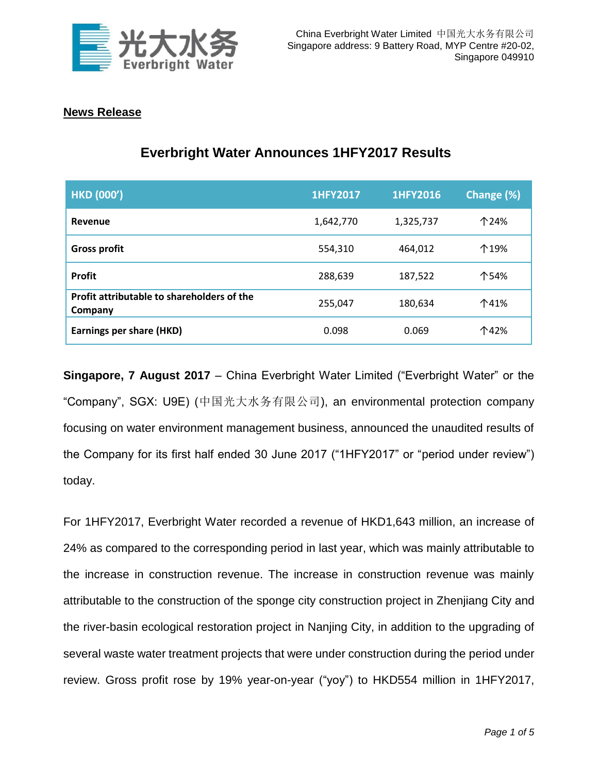

## **News Release**

| <b>HKD (000')</b>                                     | <b>1HFY2017</b> | 1HFY2016  | Change (%) |
|-------------------------------------------------------|-----------------|-----------|------------|
| Revenue                                               | 1,642,770       | 1,325,737 | 个24%       |
| <b>Gross profit</b>                                   | 554,310         | 464,012   | 个19%       |
| <b>Profit</b>                                         | 288,639         | 187,522   | 个54%       |
| Profit attributable to shareholders of the<br>Company | 255,047         | 180,634   | 个41%       |
| <b>Earnings per share (HKD)</b>                       | 0.098           | 0.069     | 个42%       |

## **Everbright Water Announces 1HFY2017 Results**

**Singapore, 7 August 2017** – China Everbright Water Limited ("Everbright Water" or the "Company", SGX: U9E) (中国光大水务有限公司), an environmental protection company focusing on water environment management business, announced the unaudited results of the Company for its first half ended 30 June 2017 ("1HFY2017" or "period under review") today.

For 1HFY2017, Everbright Water recorded a revenue of HKD1,643 million, an increase of 24% as compared to the corresponding period in last year, which was mainly attributable to the increase in construction revenue. The increase in construction revenue was mainly attributable to the construction of the sponge city construction project in Zhenjiang City and the river-basin ecological restoration project in Nanjing City, in addition to the upgrading of several waste water treatment projects that were under construction during the period under review. Gross profit rose by 19% year-on-year ("yoy") to HKD554 million in 1HFY2017,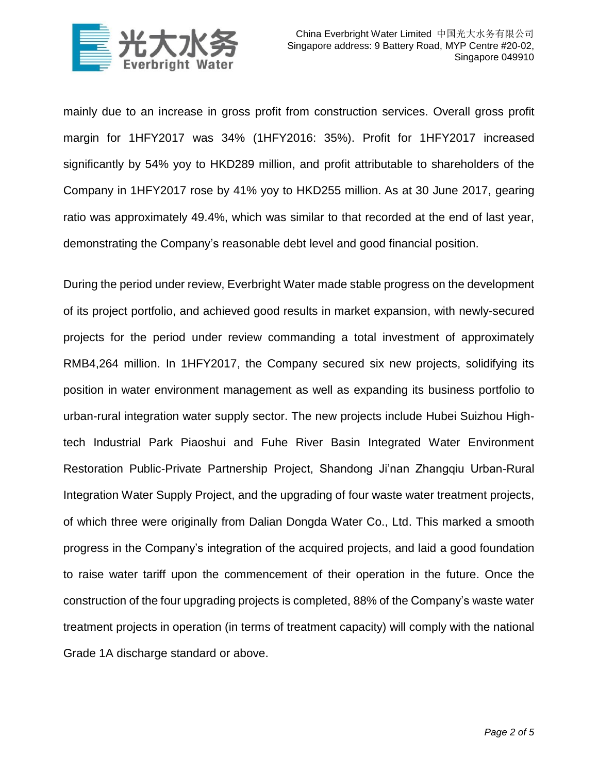

mainly due to an increase in gross profit from construction services. Overall gross profit margin for 1HFY2017 was 34% (1HFY2016: 35%). Profit for 1HFY2017 increased significantly by 54% yoy to HKD289 million, and profit attributable to shareholders of the Company in 1HFY2017 rose by 41% yoy to HKD255 million. As at 30 June 2017, gearing ratio was approximately 49.4%, which was similar to that recorded at the end of last year, demonstrating the Company's reasonable debt level and good financial position.

During the period under review, Everbright Water made stable progress on the development of its project portfolio, and achieved good results in market expansion, with newly-secured projects for the period under review commanding a total investment of approximately RMB4,264 million. In 1HFY2017, the Company secured six new projects, solidifying its position in water environment management as well as expanding its business portfolio to urban-rural integration water supply sector. The new projects include Hubei Suizhou Hightech Industrial Park Piaoshui and Fuhe River Basin Integrated Water Environment Restoration Public-Private Partnership Project, Shandong Ji'nan Zhangqiu Urban-Rural Integration Water Supply Project, and the upgrading of four waste water treatment projects, of which three were originally from Dalian Dongda Water Co., Ltd. This marked a smooth progress in the Company's integration of the acquired projects, and laid a good foundation to raise water tariff upon the commencement of their operation in the future. Once the construction of the four upgrading projects is completed, 88% of the Company's waste water treatment projects in operation (in terms of treatment capacity) will comply with the national Grade 1A discharge standard or above.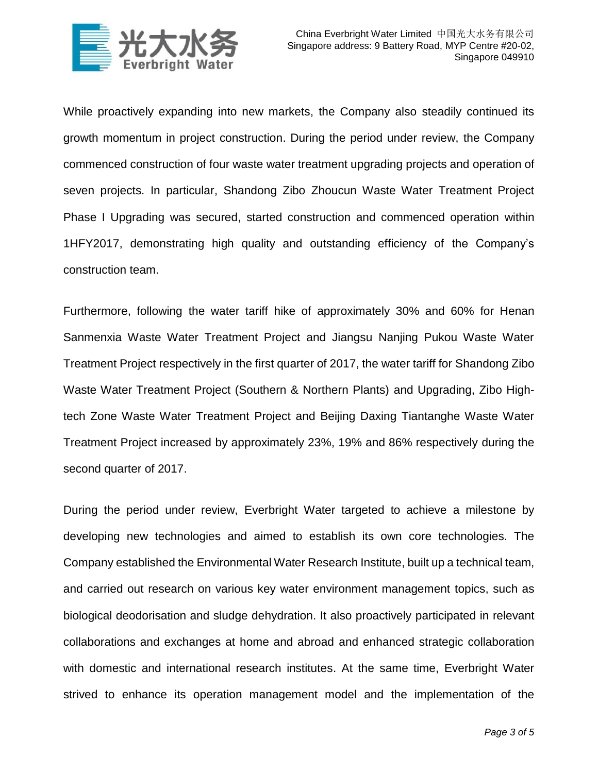

While proactively expanding into new markets, the Company also steadily continued its growth momentum in project construction. During the period under review, the Company commenced construction of four waste water treatment upgrading projects and operation of seven projects. In particular, Shandong Zibo Zhoucun Waste Water Treatment Project Phase I Upgrading was secured, started construction and commenced operation within 1HFY2017, demonstrating high quality and outstanding efficiency of the Company's construction team.

Furthermore, following the water tariff hike of approximately 30% and 60% for Henan Sanmenxia Waste Water Treatment Project and Jiangsu Nanjing Pukou Waste Water Treatment Project respectively in the first quarter of 2017, the water tariff for Shandong Zibo Waste Water Treatment Project (Southern & Northern Plants) and Upgrading, Zibo Hightech Zone Waste Water Treatment Project and Beijing Daxing Tiantanghe Waste Water Treatment Project increased by approximately 23%, 19% and 86% respectively during the second quarter of 2017.

During the period under review, Everbright Water targeted to achieve a milestone by developing new technologies and aimed to establish its own core technologies. The Company established the Environmental Water Research Institute, built up a technical team, and carried out research on various key water environment management topics, such as biological deodorisation and sludge dehydration. It also proactively participated in relevant collaborations and exchanges at home and abroad and enhanced strategic collaboration with domestic and international research institutes. At the same time, Everbright Water strived to enhance its operation management model and the implementation of the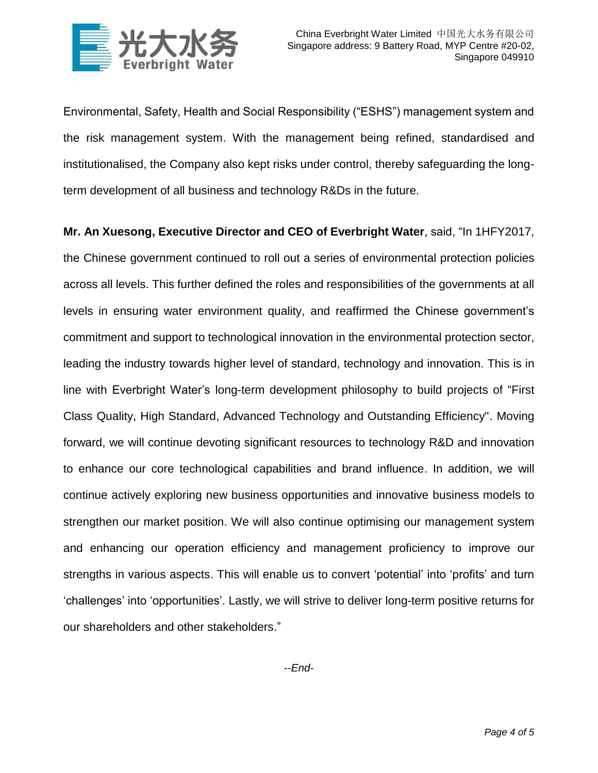

Environmental, Safety, Health and Social Responsibility ("ESHS") management system and the risk management system. With the management being refined, standardised and institutionalised, the Company also kept risks under control, thereby safeguarding the longterm development of all business and technology R&Ds in the future.

**Mr. An Xuesong, Executive Director and CEO of Everbright Water**, said, "In 1HFY2017, the Chinese government continued to roll out a series of environmental protection policies across all levels. This further defined the roles and responsibilities of the governments at all levels in ensuring water environment quality, and reaffirmed the Chinese government's commitment and support to technological innovation in the environmental protection sector, leading the industry towards higher level of standard, technology and innovation. This is in line with Everbright Water's long-term development philosophy to build projects of "First Class Quality, High Standard, Advanced Technology and Outstanding Efficiency". Moving forward, we will continue devoting significant resources to technology R&D and innovation to enhance our core technological capabilities and brand influence. In addition, we will continue actively exploring new business opportunities and innovative business models to strengthen our market position. We will also continue optimising our management system and enhancing our operation efficiency and management proficiency to improve our strengths in various aspects. This will enable us to convert 'potential' into 'profits' and turn 'challenges' into 'opportunities'. Lastly, we will strive to deliver long-term positive returns for our shareholders and other stakeholders."

*--End-*